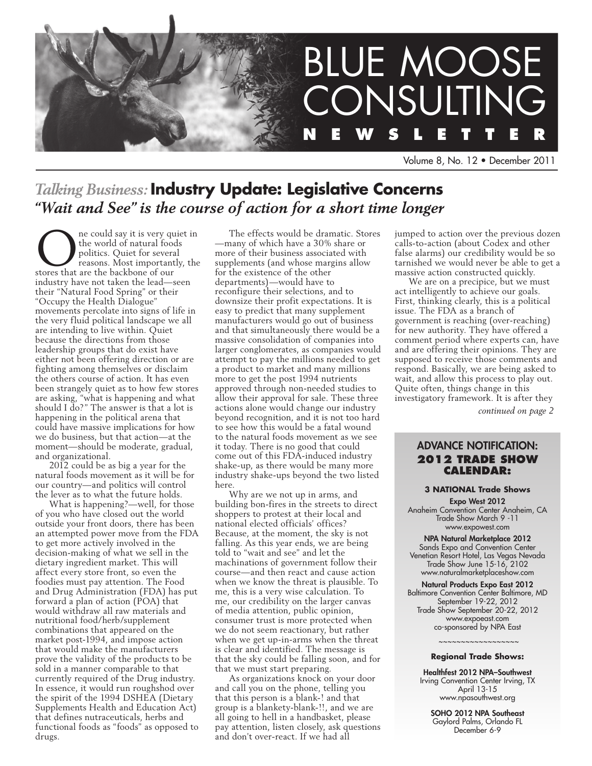

Volume 8, No. 12 • December 2011

# *Talking Business:* **Industry Update: Legislative Concerns** *"Wait and See" is the course of action for a short time longer*

ne could say it is very quiet in the world of natural foods politics. Quiet for several reasons. Most importantly, the stores that are the backbone of our industry have not taken the lead—seen their "Natural Food Spring" or their "Occupy the Health Dialogue" movements percolate into signs of life in the very fluid political landscape we all are intending to live within. Quiet because the directions from those leadership groups that do exist have either not been offering direction or are fighting among themselves or disclaim the others course of action. It has even been strangely quiet as to how few stores are asking, "what is happening and what should I do?" The answer is that a lot is happening in the political arena that could have massive implications for how we do business, but that action—at the moment—should be moderate, gradual, and organizational.

2012 could be as big a year for the natural foods movement as it will be for our country—and politics will control the lever as to what the future holds.

What is happening?—well, for those of you who have closed out the world outside your front doors, there has been an attempted power move from the FDA to get more actively involved in the decision-making of what we sell in the dietary ingredient market. This will affect every store front, so even the foodies must pay attention. The Food and Drug Administration (FDA) has put forward a plan of action (POA) that would withdraw all raw materials and nutritional food/herb/supplement combinations that appeared on the market post-1994, and impose action that would make the manufacturers prove the validity of the products to be sold in a manner comparable to that currently required of the Drug industry. In essence, it would run roughshod over the spirit of the 1994 DSHEA (Dietary Supplements Health and Education Act) that defines nutraceuticals, herbs and functional foods as "foods" as opposed to drugs.

The effects would be dramatic. Stores —many of which have a 30% share or more of their business associated with supplements (and whose margins allow for the existence of the other departments)—would have to reconfigure their selections, and to downsize their profit expectations. It is easy to predict that many supplement manufacturers would go out of business and that simultaneously there would be a massive consolidation of companies into larger conglomerates, as companies would attempt to pay the millions needed to get a product to market and many millions more to get the post 1994 nutrients approved through non-needed studies to allow their approval for sale. These three actions alone would change our industry beyond recognition, and it is not too hard to see how this would be a fatal wound to the natural foods movement as we see it today. There is no good that could come out of this FDA-induced industry shake-up, as there would be many more industry shake-ups beyond the two listed here.

Why are we not up in arms, and building bon-fires in the streets to direct shoppers to protest at their local and national elected officials' offices? Because, at the moment, the sky is not falling. As this year ends, we are being told to "wait and see" and let the machinations of government follow their course—and then react and cause action when we know the threat is plausible. To me, this is a very wise calculation. To me, our credibility on the larger canvas of media attention, public opinion, consumer trust is more protected when we do not seem reactionary, but rather when we get up-in-arms when the threat is clear and identified. The message is that the sky could be falling soon, and for that we must start preparing.

As organizations knock on your door and call you on the phone, telling you that this person is a blank-! and that group is a blankety-blank-!!, and we are all going to hell in a handbasket, please pay attention, listen closely, ask questions and don't over-react. If we had all

jumped to action over the previous dozen calls-to-action (about Codex and other false alarms) our credibility would be so tarnished we would never be able to get a massive action constructed quickly.

We are on a precipice, but we must act intelligently to achieve our goals. First, thinking clearly, this is a political issue. The FDA as a branch of government is reaching (over-reaching) for new authority. They have offered a comment period where experts can, have and are offering their opinions. They are supposed to receive those comments and respond. Basically, we are being asked to wait, and allow this process to play out. Quite often, things change in this investigatory framework. It is after they

*continued on page 2*

## Advance Notification: **2012 Trade Show Calendar:**

#### **3 NATIONAL Trade Shows**

Expo West 2012 Anaheim Convention Center Anaheim, CA Trade Show March 9 -11 www.expowest.com

NPA Natural Marketplace 2012 Sands Expo and Convention Center Venetian Resort Hotel, Las Vegas Nevada Trade Show June 15-16, 2102 www.naturalmarketplaceshow.com

#### Natural Products Expo East 2012 Baltimore Convention Center Baltimore, MD September 19-22, 2012 Trade Show September 20-22, 2012 www.expoeast.com co-sponsored by NPA East

### ~~~~~~~~~~~~~~~~~~ **Regional Trade Shows:**

Healthfest 2012 NPA–Southwest Irving Convention Center Irving, TX April 13-15 www.npasouthwest.org

SOHO 2012 NPA Southeast Gaylord Palms, Orlando FL December 6-9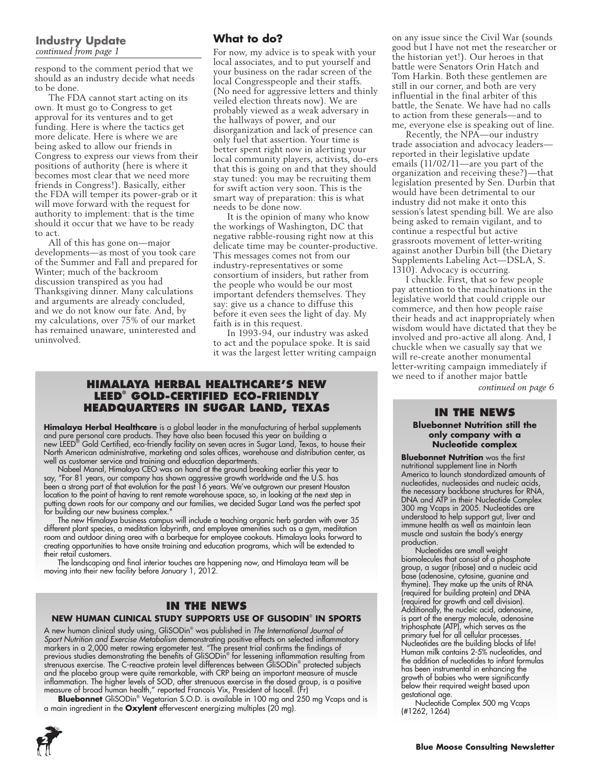#### **Industry Update** *continued from page 1*

respond to the comment period that we should as an industry decide what needs to be done.

The FDA cannot start acting on its own. It must go to Congress to get approval for its ventures and to get funding. Here is where the tactics get more delicate. Here is where we are being asked to allow our friends in Congress to express our views from their positions of authority (here is where it becomes most clear that we need more friends in Congress!). Basically, either the FDA will temper its power-grab or it will move forward with the request for authority to implement: that is the time should it occur that we have to be ready to act.

All of this has gone on—major developments—as most of you took care of the Summer and Fall and prepared for Winter; much of the backroom discussion transpired as you had Thanksgiving dinner. Many calculations and arguments are already concluded, and we do not know our fate. And, by my calculations, over 75% of our market has remained unaware, uninterested and uninvolved.

# **What to do?**

For now, my advice is to speak with your local associates, and to put yourself and your business on the radar screen of the local Congresspeople and their staffs. (No need for aggressive letters and thinly veiled election threats now). We are probably viewed as a weak adversary in the hallways of power, and our disorganization and lack of presence can only fuel that assertion. Your time is better spent right now in alerting your local community players, activists, do-ers that this is going on and that they should stay tuned: you may be recruiting them for swift action very soon. This is the smart way of preparation: this is what needs to be done now.

It is the opinion of many who know the workings of Washington, DC that negative rabble-rousing right now at this delicate time may be counter-productive. This messages comes not from our industry-representatives or some consortium of insiders, but rather from the people who would be our most important defenders themselves. They say: give us a chance to diffuse this before it even sees the light of day. My faith is in this request.

In 1993-94, our industry was asked to act and the populace spoke. It is said it was the largest letter writing campaign

### **Himalaya Herbal Healthcare's New LEED® Gold-Certified Eco-Friendly Headquarters in Sugar Land, Texas**

**Himalaya Herbal Healthcare** is a global leader in the manufacturing of herbal supplements and pure personal care products. They have also been focused this year on building a new LEED® Gold Certified, eco-friendly facility on seven acres in Sugar Land, Texas, to house their North American administrative, marketing and sales offices, warehouse and distribution center, as well as customer service and training and education departments.

Nabeel Manal, Himalaya CEO was on hand at the ground breaking earlier this year to say, "For 81 years, our company has shown aggressive growth worldwide and the U.S. has been a strong part of that evolution for the past 16 years. We've outgrown our present Houston location to the point of having to rent remote warehouse space, so, in looking at the next step in putting down roots for our company and our families, we decided Sugar Land was the perfect spot for building our new business complex."

The new Himalaya business campus will include a teaching organic herb garden with over 35 different plant species, a meditation labyrinth, and employee amenities such as a gym, meditation room and outdoor dining area with a barbeque for employee cookouts. Himalaya looks forward to creating opportunities to have onsite training and education programs, which will be extended to their retail customers.

The landscaping and final interior touches are happening now, and Himalaya team will be moving into their new facility before January 1, 2012.

# **In the News**

#### **NEW HUMAN CLINICAL STUDY SUPPORTS USE OF GLISODIN**®  **IN SPORTS**

A new human clinical study using, GliSODin® was published in *The International Journal of Sport Nutrition and Exercise Metabolism* demonstrating positive effects on selected inflammatory markers in a 2,000 meter rowing ergometer test. "The present trial confirms the findings of<br>previous studies demonstrating the benefits of GliSODin® for lessening inflammation resulting from strenuous exercise. The C-reactive protein level differences between GliSODin® protected subjects and the placebo group were quite remarkable, with CRP being an important measure of muscle inflammation. The higher levels of SOD, after strenuous exercise in the dosed group, is a positive measure of broad human health," reported Francois Vix, President of Isocell. (Fr)

**Bluebonnet** GliSODin® Vegetarian S.O.D. is available in 100 mg and 250 mg Vcaps and is a main ingredient in the **Oxylent** effervescent energizing multiples (20 mg).



on any issue since the Civil War (sounds good but I have not met the researcher or the historian yet!). Our heroes in that battle were Senators Orin Hatch and Tom Harkin. Both these gentlemen are still in our corner, and both are very influential in the final arbiter of this battle, the Senate. We have had no calls to action from these generals—and to me, everyone else is speaking out of line.

Recently, the NPA—our industry trade association and advocacy leaders reported in their legislative update emails (11/02/11—are you part of the organization and receiving these?)—that legislation presented by Sen. Durbin that would have been detrimental to our industry did not make it onto this session's latest spending bill. We are also being asked to remain vigilant, and to continue a respectful but active grassroots movement of letter-writing against another Durbin bill (the Dietary Supplements Labeling Act—DSLA, S. 1310). Advocacy is occurring.

I chuckle. First, that so few people pay attention to the machinations in the legislative world that could cripple our commerce, and then how people raise their heads and act inappropriately when wisdom would have dictated that they be involved and pro-active all along. And, I chuckle when we casually say that we will re-create another monumental letter-writing campaign immediately if we need to if another major battle *continued on page 6*

#### **In the News**

**Bluebonnet Nutrition still the only company with a Nucleotide complex**

**Bluebonnet Nutrition** was the first nutritional supplement line in North America to launch standardized amounts of nucleotides, nucleosides and nucleic acids, the necessary backbone structures for RNA, DNA and ATP in their Nucleotide Complex 300 mg Vcaps in 2005. Nucleotides are understood to help support gut, liver and immune health as well as maintain lean muscle and sustain the body's energy production.

Nucleotides are small weight biomolecules that consist of a phosphate group, a sugar (ribose) and a nucleic acid base (adenosine, cytosine, guanine and thymine). They make up the units of RNA (required for building protein) and DNA (required for growth and cell division). Additionally, the nucleic acid, adenosine, is part of the energy molecule, adenosine triphosphate (ATP), which serves as the primary fuel for all cellular processes. Nucleotides are the building blocks of life! Human milk contains 2-5% nucleotides, and the addition of nucleotides to infant formulas has been instrumental in enhancing the growth of babies who were significantly below their required weight based upon gestational age.

Nucleotide Complex 500 mg Vcaps (#1262, 1264)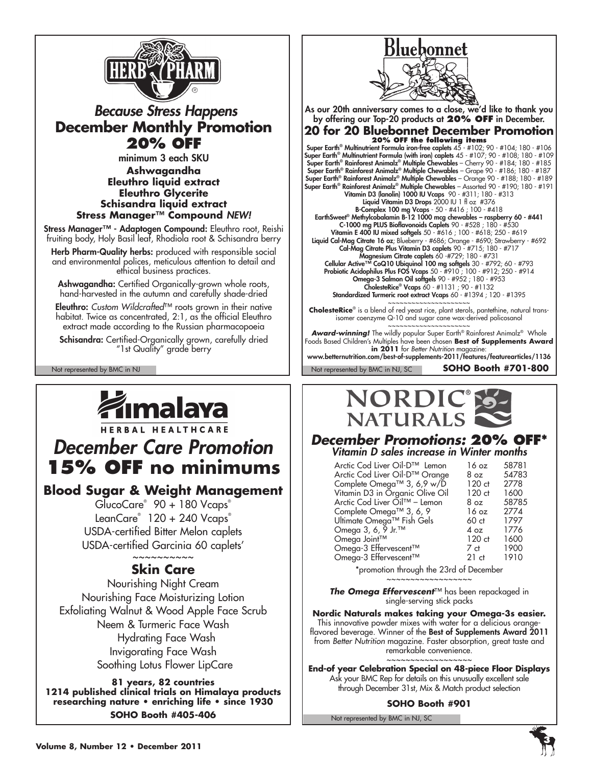

# *Because Stress Happens* **December Monthly Promotion 20% OFF**

minimum 3 each SKU **Ashwagandha Eleuthro liquid extract Eleuthro Glycerite Schisandra liquid extract Stress Manager™ Compound** *NEW!*

Stress Manager™ - Adaptogen Compound: Eleuthro root, Reishi fruiting body, Holy Basil leaf, Rhodiola root & Schisandra berry

Herb Pharm-Quality herbs: produced with responsible social and environmental polices, meticulous attention to detail and ethical business practices.

Ashwagandha: Certified Organically-grown whole roots, hand-harvested in the autumn and carefully shade-dried

Eleuthro: *Custom Wildcrafted*™ roots grown in their native habitat. Twice as concentrated, 2:1, as the official Eleuthro extract made according to the Russian pharmacopoeia

Schisandra: Certified-Organically grown, carefully dried "1st Quality" grade berry

Not represented by BMC in NJ Not represented by BMC in NJ, SC Not represented by BMC in NJ, SC



# *December Care Promotion* **15% OFF no minimums**

# **Blood Sugar & Weight Management**

GlucoCare® 90 + 180 Vcaps® LeanCare® 120 + 240 Vcaps® USDA-certified Bitter Melon caplets USDA-certified Garcinia 60 caplets'

# ~~~~~~~~~~ **Skin Care**

Nourishing Night Cream Nourishing Face Moisturizing Lotion Exfoliating Walnut & Wood Apple Face Scrub Neem & Turmeric Face Wash Hydrating Face Wash Invigorating Face Wash Soothing Lotus Flower LipCare

**81 years, 82 countries 1214 published clinical trials on Himalaya products researching nature • enriching life • since 1930 SOHO Booth #405-406**



As our 20th anniversary comes to a close, we'd like to thank you by offering our Top-20 products at **20% off** in December. **20 for 20 Bluebonnet December Promotion**

**20% OFF the following items** Super Earth® Multinutrient Formula iron-free caplets 45 - #102; 90 - #104; 180 - #106 Super Earth® Multinutrient Formula (with iron) caplets 45 - #107; 90 - #108; 180 - #109 Super Earth® Rainforest Animalz® Multiple Chewables – Cherry 90 - #184; 180 - #185 Super Earth® Rainforest Animalz® Multiple Chewables – Grape 90 - #186; 180 - #187 Super Earth® Rainforest Animalz® Multiple Chewables – Orange 90 - #188; 180 - #189 Super Earth® Rainforest Animalz® Multiple Chewables – Assorted 90 - #190; 180 - #191 Vitamin D3 (lanolin) 1000 IU Vcaps 90 - #311; 180 - #313 Liquid Vitamin D3 Drops 2000 IU 1 fl oz #376 B-Complex 100 mg Vcaps - 50 - #416 ; 100 - #418 EarthSweet® Methylcobalamin B-12 1000 mcg chewables – raspberry 60 - #441 C-1000 mg PLUS Bioflavonoids Caplets 90 - #528 ; 180 - #530 Vitamin E 400 IU mixed softgels 50 - #616 ; 100 - #618; 250 - #619 **Liquid Cal-Mag Citrate 16 oz**; Blueberry - #686; Orange - #690; Strawberry - #692 Cal-Mag Citrate Plus Vitamin D3 caplets 90 - #715; 180 - #717 Magnesium Citrate caplets 60 -#729; 180 - #731 Cellular Active™ CoQ10 Ubiquinol 100 mg softgels 30 - #792; 60 - #793 Probiotic Acidophilus Plus FOS Vcaps 50 - #910 ; 100 - #912; 250 - #914 Omega-3 Salmon Oil softgels 90 - #952 ; 180 - #953 CholesteRice® Vcaps 60 - #1131 ; 90 - #1132 Standardized Turmeric root extract Vcaps 60 - #1394 ; 120 - #1395

~~~~~~~~~~~~~~~~~~~~~ **CholesteRice**® is a blend of red yeast rice, plant sterols, pantethine, natural transisomer coenzyme Q-10 and sugar cane wax-derived policosanol

~~~~~~~~~~~~~~~~~~~~~ *Award-winning!* The wildly popular Super Earth® Rainforest Animalz® Whole Foods Based Children's Multiples have been chosen **Best of Supplements Award in 2011** for *Better Nutrition* magazine:

www.betternutrition.com/best-of-supplements-2011/features/featurearticles/1136

**SOHO Booth #701-800**



# *December Promotions:* **20% OFF\*** *Vitamin D sales increase in Winter months*

| Arctic Cod Liver Oil-D™ Lemon<br>Arctic Cod Liver Oil-D™ Orange<br>Complete Omega™ 3, 6,9 w/D<br>Vitamin D3 in Organic Olive Oil<br>Arctic Cod Liver Oil™ - Lemon | 16 oz<br>8 oz<br>120 ct<br>120 ct<br>8 <sub>oz</sub> | 58781<br>54783<br>2778<br>1600<br>58785 |
|-------------------------------------------------------------------------------------------------------------------------------------------------------------------|------------------------------------------------------|-----------------------------------------|
| Complete Omega™ 3, 6, 9                                                                                                                                           | 16 oz                                                | 2774                                    |
| Ultimate Omega™ Fish Gels                                                                                                                                         | 60ct                                                 | 1797                                    |
| Omega 3, 6, 9 Jr. <sup>™</sup>                                                                                                                                    | 4 oz                                                 | 1776                                    |
| Omega Joint™                                                                                                                                                      | 120 ct                                               | 1600                                    |
| Omega-3 Effervescent™                                                                                                                                             | 7 ct                                                 | 1900                                    |
| Omega-3 Effervescent™                                                                                                                                             | 21ct                                                 | 1910                                    |

\*promotion through the 23rd of December

~~~~~~~~~~~~~~~~~~ *The Omega Effervescent*™ has been repackaged in

single-serving stick packs

**Nordic Naturals makes taking your Omega-3s easier.**  This innovative powder mixes with water for a delicious orangeflavored beverage. Winner of the Best of Supplements Award 2011 from *Better Nutrition* magazine. Faster absorption, great taste and remarkable convenience. ~~~~~~~~~~~~~~~~~~

**End-of year Celebration Special on 48-piece Floor Displays** Ask your BMC Rep for details on this unusually excellent sale through December 31st, Mix & Match product selection

### **SOHO Booth #901**

Not represented by BMC in NJ, SC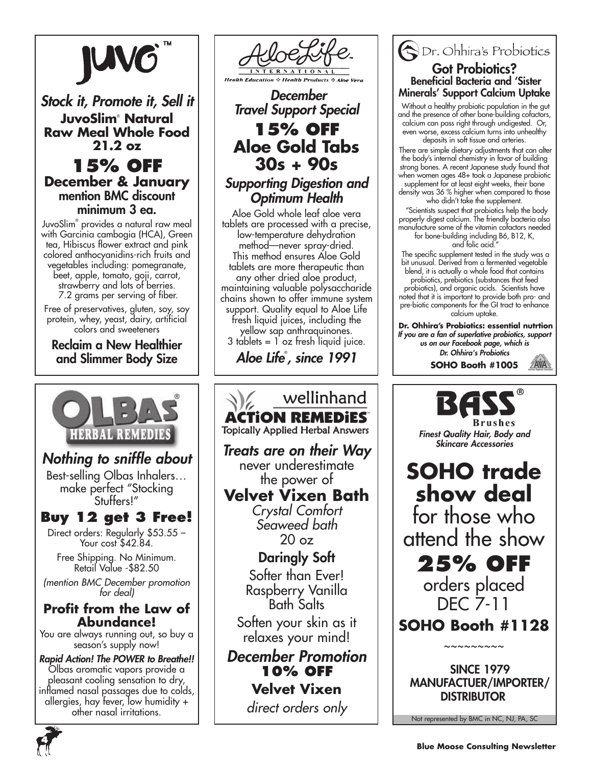

# *Stock it, Promote it, Sell it* **JuvoSlim**®  **Natural Raw Meal Whole Food 21.2 oz**

**15% off December & January** mention BMC discount minimum 3 ea.

JuvoSlim® provides a natural raw meal with Garcinia cambogia (HCA), Green tea, Hibiscus flower extract and pink colored anthocyanidins-rich fruits and vegetables including: pomegranate, beet, apple, tomato, goji, carrot, strawberry and lots of berries. 7.2 grams per serving of fiber.

Free of preservatives, gluten, soy, soy protein, whey, yeast, dairy, artificial colors and sweeteners

Reclaim a New Healthier and Slimmer Body Size



# *Nothing to sniffle about*

Best-selling Olbas Inhalers… make perfect "Stocking Stuffers!"

# **Buy 12 get 3 Free!**

Direct orders: Regularly \$53.55 – Your cost \$42.84.

Free Shipping. No Minimum. Retail Value -\$82.50

*(mention BMC December promotion for deal)*

# **Profit from the Law of Abundance!**

You are always running out, so buy a season's supply now!

*Rapid Action! The POWER to Breathe!!* Olbas aromatic vapors provide a pleasant cooling sensation to dry, inflamed nasal passages due to colds, allergies, hay fever, low humidity + other nasal irritations.



 *December Travel Support Special*

# **15% OFF Aloe Gold Tabs 30s + 90s**

*Supporting Digestion and Optimum Health*

Aloe Gold whole leaf aloe vera tablets are processed with a precise, low-temperature dehydration method—never spray-dried. This method ensures Aloe Gold tablets are more therapeutic than any other dried aloe product, maintaining valuable polysaccharide chains shown to offer immune system support. Quality equal to Aloe Life fresh liquid juices, including the yellow sap anthraquinones. 3 tablets = 1 oz fresh liquid juice.

*Aloe Life*® *, since 1991*

wellinhand **ACTION REMEDIES Topically Applied Herbal Answers** *Treats are on their Way* never underestimate the power of **Velvet Vixen Bath** *Crystal Comfort Seaweed bath* 20 oz Daringly Soft Softer than Ever! Raspberry Vanilla Bath Salts Soften your skin as it relaxes your mind! *December Promotion* **10% off Velvet Vixen**

*direct orders only*

# Dr. Ohhira's Probiotics Got Probiotics? Beneficial Bacteria and 'Sister Minerals' Support Calcium Uptake

Without a healthy probiotic population in the gut and the presence of other bone-building cofactors, calcium can pass right through undigested. Or, even worse, excess calcium turns into unhealthy deposits in soft tissue and arteries.

 There are simple dietary adjustments that can alter the body's internal chemistry in favor of building strong bones. A recent Japanese study found that when women ages 48+ took a Japanese probiotic supplement for at least eight weeks, their bone

density was 36 % higher when compared to those who didn't take the supplement.

 "Scientists suspect that probiotics help the body properly digest calcium. The friendly bacteria also manufacture some of the vitamin cofactors needed for bone-building including B6, B12, K,

and folic acid. The specific supplement tested in the study was a

bit unusual. Derived from a fermented vegetable blend, it is actually a whole food that contains probiotics, prebiotics (substances that feed

probiotics), and organic acids. Scientists have noted that it is important to provide both pro- and pre-biotic components for the GI tract to enhance calcium uptake.

 **Dr. Ohhira's Probiotics: essential nutrtion** *If you are a fan of superlative probiotics, support us on our Facebook page, which is Dr. Ohhira's Probiotics*

**SOHO Booth #1005**



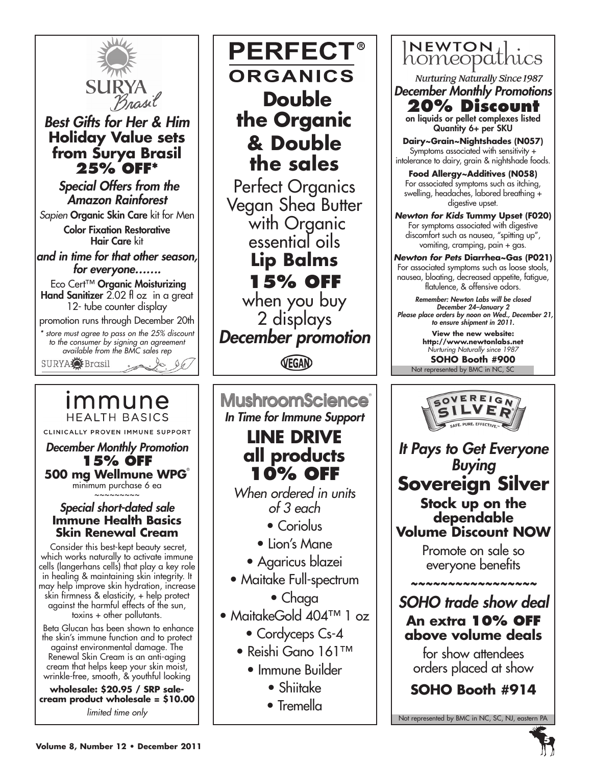

# *Best Gifts for Her & Him* **Holiday Value sets from Surya Brasil 25% OFF\***

 *Special Offers from the Amazon Rainforest*

*Sapien* Organic Skin Care kit for Men

Color Fixation Restorative Hair Care kit

*and in time for that other season, for everyone…….*

 Eco Cert™ Organic Moisturizing Hand Sanitizer 2.02 fl oz in a great 12- tube counter display

promotion runs through December 20th

*\* store must agree to pass on the 25% discount to the consumer by signing an agreement available from the BMC sales rep* SURYA<sup>2</sup> Brasil

# immune **HEALTH BASICS**

CLINICALLY PROVEN IMMUNE SUPPORT

*December Monthly Promotion* **15% OFF 500 mg Wellmune WPG**®

minimum purchase 6 ea

# ~~~~~~~~~ *Special short-dated sale* **Immune Health Basics Skin Renewal Cream**

 Consider this best-kept beauty secret, which works naturally to activate immune cells (langerhans cells) that play a key role in healing & maintaining skin integrity. It may help improve skin hydration, increase skin firmness & elasticity, + help protect against the harmful effects of the sun, toxins + other pollutants.

 Beta Glucan has been shown to enhance the skin's immune function and to protect against environmental damage. The Renewal Skin Cream is an anti-aging cream that helps keep your skin moist, wrinkle-free, smooth, & youthful looking

**wholesale: \$20.95 / SRP salecream product wholesale = \$10.00** *limited time only*

**PERFECT® ORGANICS Double the Organic & Double the sales**

Perfect Organics Vegan Shea Butter with Organic essential oils **Lip Balms 15% off** when you buy 2 displays *December promotion*

VEGAN

**MushroomScience** *In Time for Immune Support*

# **LINE DRIVE all products 10% OFF**

*When ordered in units of 3 each*

- Coriolus
- Lion's Mane
- Agaricus blazei
- Maitake Full-spectrum
	- Chaga
- MaitakeGold 404™ 1 oz
	- Cordyceps Cs-4
	- Reishi Gano 161™
		- Immune Builder
			- Shiitake
			- Tremella



**Nurturing Naturally Since 1987** *December Monthly Promotions*

**20% Discount**

on liquids or pellet complexes listed Quantity 6+ per SKU

**Dairy~Grain~Nightshades (N057)** Symptoms associated with sensitivity + intolerance to dairy, grain & nightshade foods.

**Food Allergy~Additives (N058)** For associated symptoms such as itching, swelling, headaches, labored breathing + digestive upset.

*Newton for Kids* **Tummy Upset (F020)** For symptoms associated with digestive discomfort such as nausea, "spitting up", vomiting, cramping, pain + gas.

*Newton for Pets* **Diarrhea~Gas (P021)** For associated symptoms such as loose stools, nausea, bloating, decreased appetite, fatigue, flatulence, & offensive odors.

*Remember: Newton Labs will be closed December 24–January 2 Please place orders by noon on Wed., December 21, to ensure shipment in 2011.*

> **View the new website: http://www.newtonlabs.net** *Nurturing Naturally since 1987*

Not represented by BMC in NC, SC **SOHO Booth #900**



*It Pays to Get Everyone Buying* **Sovereign Silver Stock up on the dependable Volume Discount NOW**

Promote on sale so everyone benefits

*~~~~~~~~~~~~~~~~~*

*SOHO trade show deal* **An extra 10% off above volume deals**

for show attendees orders placed at show

**SOHO Booth #914**

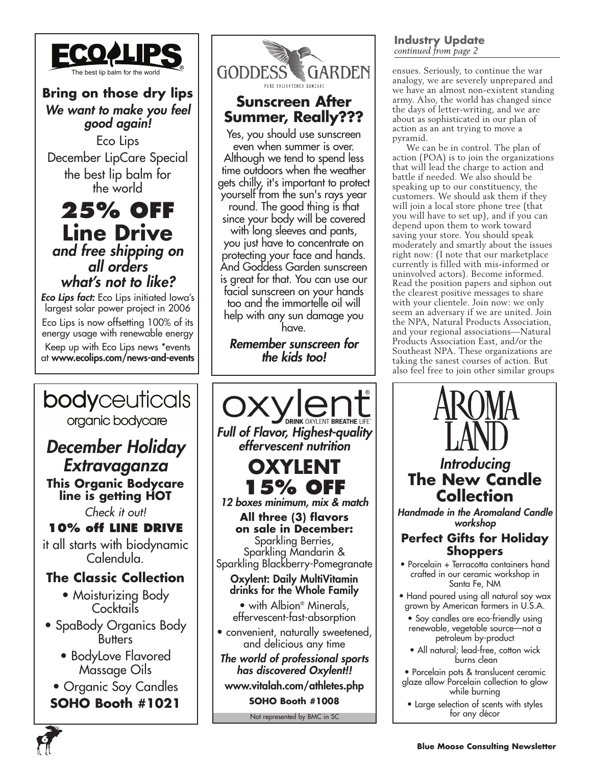

**Bring on those dry lips** *We want to make you feel good again!*

Eco Lips December LipCare Special the best lip balm for the world

# **25% OFF Line Drive** *and free shipping on all orders what's not to like?*

*Eco Lips fact:* Eco Lips initiated Iowa's largest solar power project in 2006 Eco Lips is now offsetting 100% of its energy usage with renewable energy Keep up with Eco Lips news \*events at www.ecolips.com/news-and-events



**6**



# **Sunscreen After Summer, Really???**

Yes, you should use sunscreen even when summer is over. Although we tend to spend less time outdoors when the weather gets chilly, it's important to protect yourself from the sun's rays year round. The good thing is that

since your body will be covered with long sleeves and pants, you just have to concentrate on protecting your face and hands. And Goddess Garden sunscreen is great for that. You can use our facial sunscreen on your hands too and the immortelle oil will help with any sun damage you have.

*Remember sunscreen for the kids too!*



## **Industry Update** *continued from page 2*

analogy, we are severely unprepared and we have an almost non-existent standing army. Also, the world has changed since the days of letter-writing, and we are about as sophisticated in our plan of action as an ant trying to move a pyramid.

We can be in control. The plan of action (POA) is to join the organizations that will lead the charge to action and battle if needed. We also should be speaking up to our constituency, the customers. We should ask them if they will join a local store phone tree (that you will have to set up), and if you can depend upon them to work toward saving your store. You should speak moderately and smartly about the issues right now: (I note that our marketplace currently is filled with mis-informed or uninvolved actors). Become informed. Read the position papers and siphon out the clearest positive messages to share with your clientele. Join now: we only seem an adversary if we are united. Join the NPA, Natural Products Association, and your regional associations—Natural Products Association East, and/or the Southeast NPA. These organizations are taking the sanest courses of action. But also feel free to join other similar groups

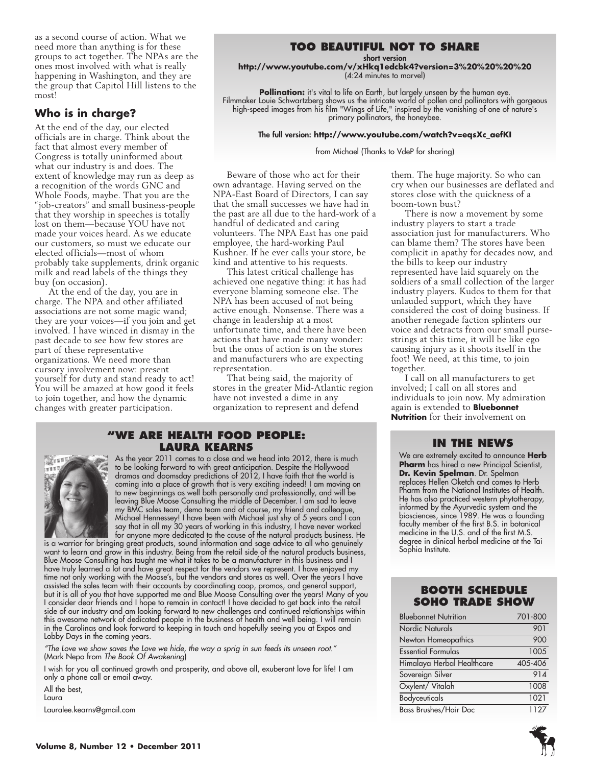as a second course of action. What we need more than anything is for these groups to act together. The NPAs are the ones most involved with what is really happening in Washington, and they are the group that Capitol Hill listens to the most!

## **Who is in charge?**

At the end of the day, our elected officials are in charge. Think about the fact that almost every member of Congress is totally uninformed about what our industry is and does. The extent of knowledge may run as deep as a recognition of the words GNC and Whole Foods, maybe. That you are the "job-creators" and small business-people that they worship in speeches is totally lost on them—because YOU have not made your voices heard. As we educate our customers, so must we educate our elected officials—most of whom probably take supplements, drink organic milk and read labels of the things they buy (on occasion).

At the end of the day, you are in charge. The NPA and other affiliated associations are not some magic wand; they are your voices—if you join and get involved. I have winced in dismay in the past decade to see how few stores are part of these representative organizations. We need more than cursory involvement now: present yourself for duty and stand ready to act! You will be amazed at how good it feels to join together, and how the dynamic changes with greater participation.

## **Too beautiful not to share**

short version

**http://www.youtube.com/v/xHkq1edcbk4?version=3%20%20%20%20** (4:24 minutes to marvel)

**Pollination:** it's vital to life on Earth, but largely unseen by the human eye. Filmmaker Louie Schwartzberg shows us the intricate world of pollen and pollinators with gorgeous high-speed images from his film "Wings of Life," inspired by the vanishing of one of nature's primary pollinators, the honeybee.

#### The full version: **http://www.youtube.com/watch?v=eqsXc\_aefKI**

from Michael (Thanks to VdeP for sharing)

Beware of those who act for their own advantage. Having served on the NPA-East Board of Directors, I can say that the small successes we have had in the past are all due to the hard-work of a handful of dedicated and caring volunteers. The NPA East has one paid employee, the hard-working Paul Kushner. If he ever calls your store, be kind and attentive to his requests.

This latest critical challenge has achieved one negative thing: it has had everyone blaming someone else. The NPA has been accused of not being active enough. Nonsense. There was a change in leadership at a most unfortunate time, and there have been actions that have made many wonder: but the onus of action is on the stores and manufacturers who are expecting representation.

That being said, the majority of stores in the greater Mid-Atlantic region have not invested a dime in any organization to represent and defend

### **"We Are health food people: Laura Kearns**

As the year 2011 comes to a close and we head into 2012, there is much to be looking forward to with great anticipation. Despite the Hollywood dramas and doomsday predictions of 2012, I have faith that the world is coming into a place of growth that is very exciting indeed! I am moving on to new beginnings as well both personally and professionally, and will be leaving Blue Moose Consulting the middle of December. I am sad to leave my BMC sales team, demo team and of course, my friend and colleague, Michael Hennessey! I have been with Michael just shy of 5 years and I can say that in all my 30 years of working in this industry, I have never worked for anyone more dedicated to the cause of the natural products business. He

is a warrior for bringing great products, sound information and sage advice to all who genuinely want to learn and grow in this industry. Being from the retail side of the natural products business, Blue Moose Consulting has taught me what it takes to be a manufacturer in this business and I have truly learned a lot and have great respect for the vendors we represent. I have enjoyed my time not only working with the Moose's, but the vendors and stores as well. Over the years I have assisted the sales team with their accounts by coordinating coop, promos, and general support, but it is all of you that have supported me and Blue Moose Consulting over the years! Many of you I consider dear friends and I hope to remain in contact! I have decided to get back into the retail side of our industry and am looking forward to new challenges and continued relationships within this awesome network of dedicated people in the business of health and well being. I will remain in the Carolinas and look forward to keeping in touch and hopefully seeing you at Expos and Lobby Days in the coming years.

*"The Love we show saves the Love we hide, the way a sprig in sun feeds its unseen root."* (Mark Nepo from *The Book Of Awakening*)

I wish for you all continued growth and prosperity, and above all, exuberant love for life! I am only a phone call or email away.

All the best, Laura Lauralee.kearns@gmail.com them. The huge majority. So who can cry when our businesses are deflated and stores close with the quickness of a boom-town bust?

There is now a movement by some industry players to start a trade association just for manufacturers. Who can blame them? The stores have been complicit in apathy for decades now, and the bills to keep our industry represented have laid squarely on the soldiers of a small collection of the larger industry players. Kudos to them for that unlauded support, which they have considered the cost of doing business. If another renegade faction splinters our voice and detracts from our small pursestrings at this time, it will be like ego causing injury as it shoots itself in the foot! We need, at this time, to join together.

I call on all manufacturers to get involved; I call on all stores and individuals to join now. My admiration again is extended to **Bluebonnet Nutrition** for their involvement on

#### **In the News**

We are extremely excited to announce **Herb Pharm** has hired a new Principal Scientist, **Dr. Kevin Spelman**. Dr. Spelman replaces Hellen Oketch and comes to Herb Pharm from the National Institutes of Health. He has also practiced western phytotherapy, informed by the Ayurvedic system and the biosciences, since 1989. He was a founding faculty member of the first B.S. in botanical medicine in the U.S. and of the first M.S. degree in clinical herbal medicine at the Tai Sophia Institute.

### **Booth Schedule SOHO Trade Show**

| <b>Bluebonnet Nutrition</b>  | 701-800 |
|------------------------------|---------|
| Nordic Naturals              | 901     |
| Newton Homeopathics          | 900     |
| <b>Essential Formulas</b>    | 1005    |
| Himalaya Herbal Healthcare   | 405-406 |
| Sovereign Silver             | 914     |
| Oxylent/ Vitalah             | 1008    |
| <b>Bodyceuticals</b>         | 1021    |
| <b>Bass Brushes/Hair Doc</b> | 1127    |